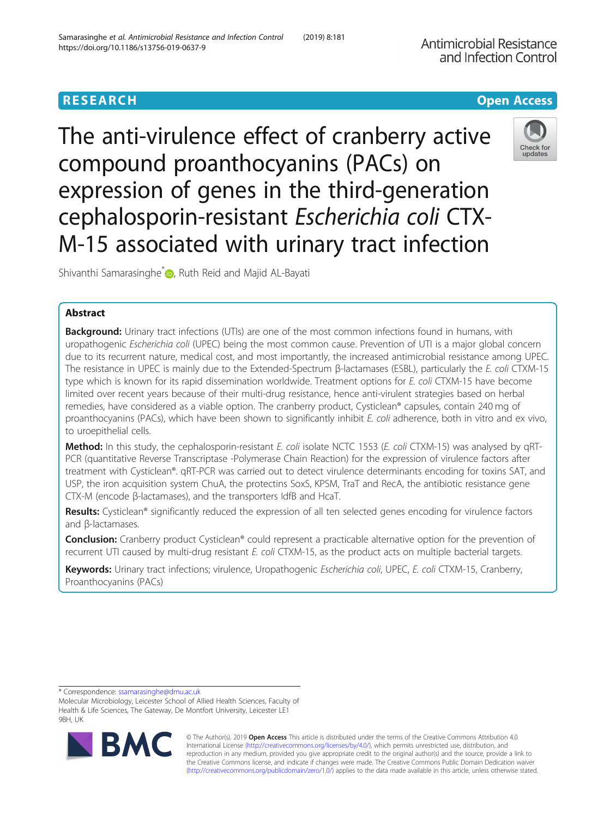## **RESEARCH CHE Open Access**

The anti-virulence effect of cranberry active compound proanthocyanins (PACs) on expression of genes in the third-generation cephalosporin-resistant Escherichia coli CTX-M-15 associated with urinary tract infection



Shivanthi Samarasinghe<sup>[\\*](http://orcid.org/0000-0001-7172-8136)</sup> , Ruth Reid and Majid AL-Bayati

## Abstract

Background: Urinary tract infections (UTIs) are one of the most common infections found in humans, with uropathogenic Escherichia coli (UPEC) being the most common cause. Prevention of UTI is a major global concern due to its recurrent nature, medical cost, and most importantly, the increased antimicrobial resistance among UPEC. The resistance in UPEC is mainly due to the Extended-Spectrum β-lactamases (ESBL), particularly the E. coli CTXM-15 type which is known for its rapid dissemination worldwide. Treatment options for E. coli CTXM-15 have become limited over recent years because of their multi-drug resistance, hence anti-virulent strategies based on herbal remedies, have considered as a viable option. The cranberry product, Cysticlean® capsules, contain 240 mg of proanthocyanins (PACs), which have been shown to significantly inhibit E. coli adherence, both in vitro and ex vivo, to uroepithelial cells.

Method: In this study, the cephalosporin-resistant E. coli isolate NCTC 1553 (E. coli CTXM-15) was analysed by qRT-PCR (quantitative Reverse Transcriptase -Polymerase Chain Reaction) for the expression of virulence factors after treatment with Cysticlean®. qRT-PCR was carried out to detect virulence determinants encoding for toxins SAT, and USP, the iron acquisition system ChuA, the protectins SoxS, KPSM, TraT and RecA, the antibiotic resistance gene CTX-M (encode β-lactamases), and the transporters IdfB and HcaT.

Results: Cysticlean® significantly reduced the expression of all ten selected genes encoding for virulence factors and β-lactamases.

**Conclusion:** Cranberry product Cysticlean® could represent a practicable alternative option for the prevention of recurrent UTI caused by multi-drug resistant E. coli CTXM-15, as the product acts on multiple bacterial targets.

Keywords: Urinary tract infections; virulence, Uropathogenic Escherichia coli, UPEC, E. coli CTXM-15, Cranberry, Proanthocyanins (PACs)

\* Correspondence: [ssamarasinghe@dmu.ac.uk](mailto:ssamarasinghe@dmu.ac.uk)

Molecular Microbiology, Leicester School of Allied Health Sciences, Faculty of Health & Life Sciences, The Gateway, De Montfort University, Leicester LE1 9BH, UK



© The Author(s). 2019 **Open Access** This article is distributed under the terms of the Creative Commons Attribution 4.0 International License [\(http://creativecommons.org/licenses/by/4.0/](http://creativecommons.org/licenses/by/4.0/)), which permits unrestricted use, distribution, and reproduction in any medium, provided you give appropriate credit to the original author(s) and the source, provide a link to the Creative Commons license, and indicate if changes were made. The Creative Commons Public Domain Dedication waiver [\(http://creativecommons.org/publicdomain/zero/1.0/](http://creativecommons.org/publicdomain/zero/1.0/)) applies to the data made available in this article, unless otherwise stated.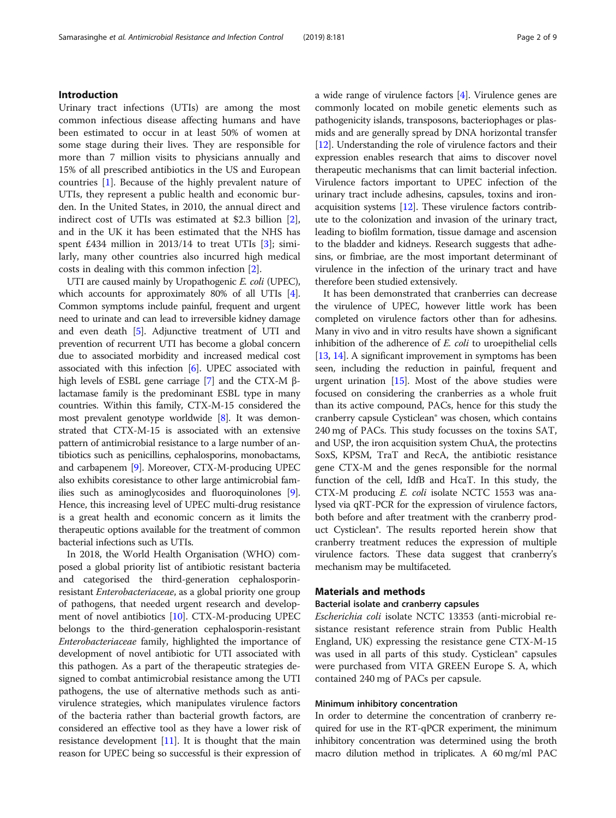### Introduction

Urinary tract infections (UTIs) are among the most common infectious disease affecting humans and have been estimated to occur in at least 50% of women at some stage during their lives. They are responsible for more than 7 million visits to physicians annually and 15% of all prescribed antibiotics in the US and European countries [[1\]](#page-7-0). Because of the highly prevalent nature of UTIs, they represent a public health and economic burden. In the United States, in 2010, the annual direct and indirect cost of UTIs was estimated at \$2.3 billion [\[2](#page-7-0)], and in the UK it has been estimated that the NHS has spent £434 million in  $2013/14$  to treat UTIs [\[3](#page-7-0)]; similarly, many other countries also incurred high medical costs in dealing with this common infection [[2\]](#page-7-0).

UTI are caused mainly by Uropathogenic E. coli (UPEC), which accounts for approximately 80% of all UTIs [[4](#page-7-0)]. Common symptoms include painful, frequent and urgent need to urinate and can lead to irreversible kidney damage and even death [\[5](#page-7-0)]. Adjunctive treatment of UTI and prevention of recurrent UTI has become a global concern due to associated morbidity and increased medical cost associated with this infection [[6\]](#page-7-0). UPEC associated with high levels of ESBL gene carriage [\[7\]](#page-7-0) and the CTX-M βlactamase family is the predominant ESBL type in many countries. Within this family, CTX-M-15 considered the most prevalent genotype worldwide [\[8](#page-7-0)]. It was demonstrated that CTX-M-15 is associated with an extensive pattern of antimicrobial resistance to a large number of antibiotics such as penicillins, cephalosporins, monobactams, and carbapenem [\[9](#page-7-0)]. Moreover, CTX-M-producing UPEC also exhibits coresistance to other large antimicrobial families such as aminoglycosides and fluoroquinolones [[9](#page-7-0)]. Hence, this increasing level of UPEC multi-drug resistance is a great health and economic concern as it limits the therapeutic options available for the treatment of common bacterial infections such as UTIs.

In 2018, the World Health Organisation (WHO) composed a global priority list of antibiotic resistant bacteria and categorised the third-generation cephalosporinresistant Enterobacteriaceae, as a global priority one group of pathogens, that needed urgent research and development of novel antibiotics [[10](#page-7-0)]. CTX-M-producing UPEC belongs to the third-generation cephalosporin-resistant Enterobacteriaceae family, highlighted the importance of development of novel antibiotic for UTI associated with this pathogen. As a part of the therapeutic strategies designed to combat antimicrobial resistance among the UTI pathogens, the use of alternative methods such as antivirulence strategies, which manipulates virulence factors of the bacteria rather than bacterial growth factors, are considered an effective tool as they have a lower risk of resistance development [[11](#page-7-0)]. It is thought that the main reason for UPEC being so successful is their expression of a wide range of virulence factors [[4\]](#page-7-0). Virulence genes are commonly located on mobile genetic elements such as pathogenicity islands, transposons, bacteriophages or plasmids and are generally spread by DNA horizontal transfer [[12](#page-7-0)]. Understanding the role of virulence factors and their expression enables research that aims to discover novel therapeutic mechanisms that can limit bacterial infection. Virulence factors important to UPEC infection of the urinary tract include adhesins, capsules, toxins and ironacquisition systems [[12](#page-7-0)]. These virulence factors contribute to the colonization and invasion of the urinary tract, leading to biofilm formation, tissue damage and ascension to the bladder and kidneys. Research suggests that adhesins, or fimbriae, are the most important determinant of virulence in the infection of the urinary tract and have therefore been studied extensively.

It has been demonstrated that cranberries can decrease the virulence of UPEC, however little work has been completed on virulence factors other than for adhesins. Many in vivo and in vitro results have shown a significant inhibition of the adherence of E. coli to uroepithelial cells [[13](#page-7-0), [14\]](#page-7-0). A significant improvement in symptoms has been seen, including the reduction in painful, frequent and urgent urination  $[15]$ . Most of the above studies were focused on considering the cranberries as a whole fruit than its active compound, PACs, hence for this study the cranberry capsule Cysticlean® was chosen, which contains 240 mg of PACs. This study focusses on the toxins SAT, and USP, the iron acquisition system ChuA, the protectins SoxS, KPSM, TraT and RecA, the antibiotic resistance gene CTX-M and the genes responsible for the normal function of the cell, IdfB and HcaT. In this study, the CTX-M producing E. coli isolate NCTC 1553 was analysed via qRT-PCR for the expression of virulence factors, both before and after treatment with the cranberry product Cysticlean®. The results reported herein show that cranberry treatment reduces the expression of multiple virulence factors. These data suggest that cranberry's mechanism may be multifaceted.

### Materials and methods

#### Bacterial isolate and cranberry capsules

Escherichia coli isolate NCTC 13353 (anti-microbial resistance resistant reference strain from Public Health England, UK) expressing the resistance gene CTX-M-15 was used in all parts of this study. Cysticlean® capsules were purchased from VITA GREEN Europe S. A, which contained 240 mg of PACs per capsule.

### Minimum inhibitory concentration

In order to determine the concentration of cranberry required for use in the RT-qPCR experiment, the minimum inhibitory concentration was determined using the broth macro dilution method in triplicates. A 60 mg/ml PAC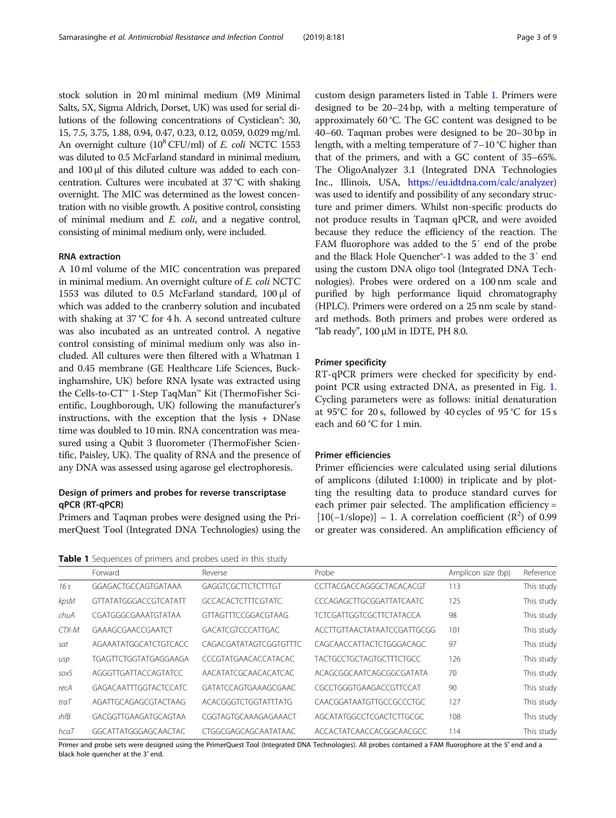stock solution in 20 ml minimal medium (M9 Minimal Salts, 5X, Sigma Aldrich, Dorset, UK) was used for serial dilutions of the following concentrations of Cysticlean®: 30, 15, 7.5, 3.75, 1.88, 0.94, 0.47, 0.23, 0.12, 0.059, 0.029 mg/ml. An overnight culture  $(10^8 \text{ CFU/ml})$  of *E. coli* NCTC 1553 was diluted to 0.5 McFarland standard in minimal medium, and 100 μl of this diluted culture was added to each concentration. Cultures were incubated at 37 °C with shaking overnight. The MIC was determined as the lowest concentration with no visible growth. A positive control, consisting of minimal medium and E. coli, and a negative control, consisting of minimal medium only, were included.

### RNA extraction

A 10 ml volume of the MIC concentration was prepared in minimal medium. An overnight culture of E. coli NCTC 1553 was diluted to 0.5 McFarland standard, 100 μl of which was added to the cranberry solution and incubated with shaking at 37 °C for 4 h. A second untreated culture was also incubated as an untreated control. A negative control consisting of minimal medium only was also included. All cultures were then filtered with a Whatman 1 and 0.45 membrane (GE Healthcare Life Sciences, Buckinghamshire, UK) before RNA lysate was extracted using the Cells-to-CT™ 1-Step TaqMan™ Kit (ThermoFisher Scientific, Loughborough, UK) following the manufacturer's instructions, with the exception that the lysis + DNase time was doubled to 10 min. RNA concentration was measured using a Qubit 3 fluorometer (ThermoFisher Scientific, Paisley, UK). The quality of RNA and the presence of any DNA was assessed using agarose gel electrophoresis.

### Design of primers and probes for reverse transcriptase qPCR (RT-qPCR)

Primers and Taqman probes were designed using the PrimerQuest Tool (Integrated DNA Technologies) using the custom design parameters listed in Table 1. Primers were designed to be 20–24 bp, with a melting temperature of approximately 60 °C. The GC content was designed to be 40–60. Taqman probes were designed to be 20–30 bp in length, with a melting temperature of 7–10 °C higher than that of the primers, and with a GC content of 35–65%. The OligoAnalyzer 3.1 (Integrated DNA Technologies Inc., Illinois, USA, <https://eu.idtdna.com/calc/analyzer>) was used to identify and possibility of any secondary structure and primer dimers. Whilst non-specific products do not produce results in Taqman qPCR, and were avoided because they reduce the efficiency of the reaction. The FAM fluorophore was added to the 5′ end of the probe and the Black Hole Quencher®-1 was added to the 3′ end using the custom DNA oligo tool (Integrated DNA Technologies). Probes were ordered on a 100 nm scale and purified by high performance liquid chromatography (HPLC). Primers were ordered on a 25 nm scale by standard methods. Both primers and probes were ordered as "lab ready",  $100 \mu M$  in IDTE, PH 8.0.

#### Primer specificity

RT-qPCR primers were checked for specificity by endpoint PCR using extracted DNA, as presented in Fig. [1](#page-3-0). Cycling parameters were as follows: initial denaturation at 95°C for 20 s, followed by 40 cycles of 95 °C for 15 s each and 60 °C for 1 min.

#### Primer efficiencies

Primer efficiencies were calculated using serial dilutions of amplicons (diluted 1:1000) in triplicate and by plotting the resulting data to produce standard curves for each primer pair selected. The amplification efficiency =  $[10(-1/slope)] - 1$ . A correlation coefficient  $(R^2)$  of 0.99 or greater was considered. An amplification efficiency of

Table 1 Sequences of primers and probes used in this study

|       | Forward                      | Reverse                     | Probe                           | Amplicon size (bp) | Reference  |
|-------|------------------------------|-----------------------------|---------------------------------|--------------------|------------|
| 16s   | GGAGACTGCCAGTGATAAA          | GAGGTCGCTTCTCTTTGT          | CCTTACGACCAGGGCTACACACGT        | 113                | This study |
| kpsM  | <b>GTTATATGGGACCGTCATATT</b> | <b>GCCACACTCTTTCGTATC</b>   | CCCAGAGCTTGCGGATTATCAATC        | 125                | This study |
| chuA  | CGATGGGCGAAATGTATAA          | GTTAGTTTCCGGACGTAAG         | <b>TCTCGATTGGTCGCTTCTATACCA</b> | 98                 | This study |
| CTX-M | GAAAGCGAACCGAATCT            | <b>GACATCGTCCCATTGAC</b>    | ACCTTGTTAACTATAATCCGATTGCGG     | 101                | This study |
| sat   | AGAAATATGGCATCTGTCACC        | CAGACGATATAGTCGGTGTTTC      | CAGCAACCATTACTCTGGGACAGC        | 97                 | This study |
| usp   | <b>TGAGTTCTGGTATGAGGAAGA</b> | <b>CCCGTATGAACACCATACAC</b> | <b>TACTGCCTGCTAGTGCTTTCTGCC</b> | 126                | This study |
| soxS  | AGGGTTGATTACCAGTATCC         | AACATATCGCAACACATCAC        | ACAGCGGCAATCAGCGGCGATATA        | 70                 | This study |
| recA  | GAGACAATTTGGTACTCCATC        | GATATCCAGTGAAAGCGAAC        | CGCCTGGGTGAAGACCGTTCCAT         | 90                 | This study |
| traT  | AGATTGCAGAGCGTACTAAG         | ACACGGGTCTGGTATTTATG        | CAACGGATAATGTTGCCGCCCTGC        | 127                | This study |
| ihfB  | GACGGTTGAAGATGCAGTAA         | CGGTAGTGCAAAGAGAAACT        | AGCATATGGCCTCGACTCTTGCGC        | 108                | This study |
| hcaT  | GGCATTATGGGAGCAACTAC         | <b>CTGGCGAGCAGCAATATAAC</b> | ACCACTATCAACCACGGCAACGCC        | 114                | This study |

Primer and probe sets were designed using the PrimerQuest Tool (Integrated DNA Technologies). All probes contained a FAM fluorophore at the 5′ end and a black hole quencher at the 3′ end.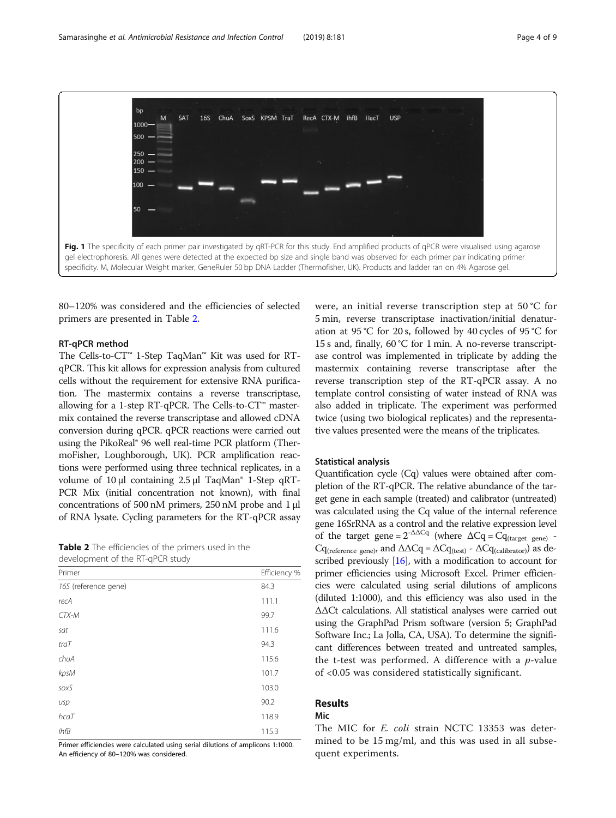<span id="page-3-0"></span>bn SA<sub>1</sub> 169  $ChulA$ **KPSM TraT** RecA CTX-M ihfR HacT LISE M  $S_{\alpha}$  $1000$  $250$  $200$ 150  $100$  $\overline{\mathbf{r}}$ Fig. 1 The specificity of each primer pair investigated by qRT-PCR for this study. End amplified products of qPCR were visualised using agarose gel electrophoresis. All genes were detected at the expected bp size and single band was observed for each primer pair indicating primer specificity. M, Molecular Weight marker, GeneRuler 50 bp DNA Ladder (Thermofisher, UK). Products and ladder ran on 4% Agarose gel.

80–120% was considered and the efficiencies of selected primers are presented in Table 2.

### RT-qPCR method

The Cells-to-CT™ 1-Step TaqMan™ Kit was used for RTqPCR. This kit allows for expression analysis from cultured cells without the requirement for extensive RNA purification. The mastermix contains a reverse transcriptase, allowing for a 1-step RT-qPCR. The Cells-to-CT™ mastermix contained the reverse transcriptase and allowed cDNA conversion during qPCR. qPCR reactions were carried out using the PikoReal® 96 well real-time PCR platform (ThermoFisher, Loughborough, UK). PCR amplification reactions were performed using three technical replicates, in a volume of 10 μl containing 2.5 μl TaqMan® 1-Step qRT-PCR Mix (initial concentration not known), with final concentrations of 500 nM primers, 250 nM probe and 1 μl of RNA lysate. Cycling parameters for the RT-qPCR assay

Table 2 The efficiencies of the primers used in the development of the RT-qPCR study

| Primer               | Efficiency % |
|----------------------|--------------|
| 16S (reference gene) | 84.3         |
| recA                 | 111.1        |
| CTX-M                | 99.7         |
| sat                  | 111.6        |
| traT                 | 94.3         |
| chuA                 | 115.6        |
| kpsM                 | 101.7        |
| soxS                 | 103.0        |
| usp                  | 90.2         |
| hcaT                 | 118.9        |
| $I$ hf $B$           | 115.3        |

Primer efficiencies were calculated using serial dilutions of amplicons 1:1000. An efficiency of 80–120% was considered.

were, an initial reverse transcription step at 50 °C for 5 min, reverse transcriptase inactivation/initial denaturation at 95 °C for 20 s, followed by 40 cycles of 95 °C for 15 s and, finally, 60 °C for 1 min. A no-reverse transcriptase control was implemented in triplicate by adding the mastermix containing reverse transcriptase after the reverse transcription step of the RT-qPCR assay. A no template control consisting of water instead of RNA was also added in triplicate. The experiment was performed twice (using two biological replicates) and the representative values presented were the means of the triplicates.

### Statistical analysis

Quantification cycle (Cq) values were obtained after completion of the RT-qPCR. The relative abundance of the target gene in each sample (treated) and calibrator (untreated) was calculated using the Cq value of the internal reference gene 16SrRNA as a control and the relative expression level of the target gene =  $2^{-\Delta\Delta Cq}$  (where  $\Delta Cq = Cq_{\text{(target gene)}}$ . Cq<sub>(reference gene</sub>), and  $\Delta \Delta Cq = \Delta Cq_{(test)} - \Delta Cq_{(calibration)})$  as de-scribed previously [\[16\]](#page-7-0), with a modification to account for primer efficiencies using Microsoft Excel. Primer efficiencies were calculated using serial dilutions of amplicons (diluted 1:1000), and this efficiency was also used in the ΔΔCt calculations. All statistical analyses were carried out using the GraphPad Prism software (version 5; GraphPad Software Inc.; La Jolla, CA, USA). To determine the significant differences between treated and untreated samples, the t-test was performed. A difference with a  $p$ -value of <0.05 was considered statistically significant.

### Results

### Mic

The MIC for E. coli strain NCTC 13353 was determined to be 15 mg/ml, and this was used in all subsequent experiments.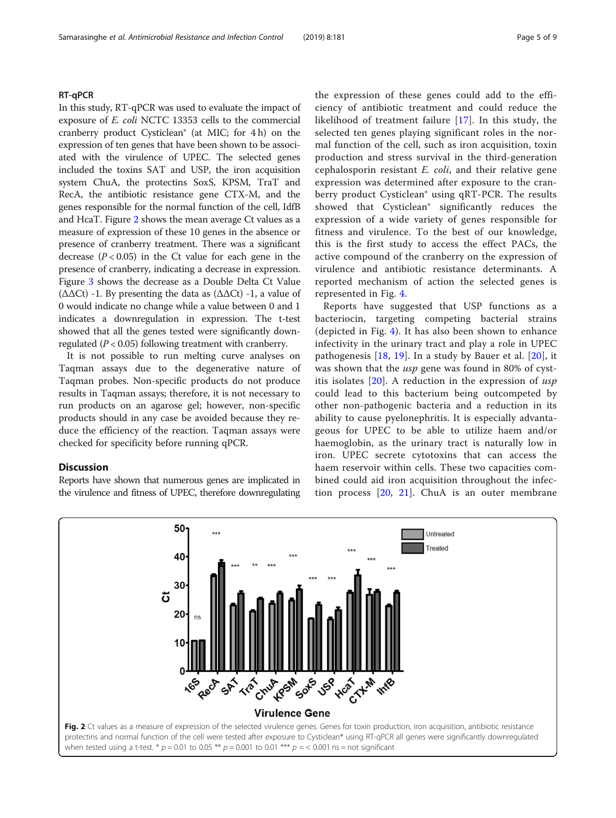### RT-qPCR

In this study, RT-qPCR was used to evaluate the impact of exposure of E. coli NCTC 13353 cells to the commercial cranberry product Cysticlean® (at MIC; for 4 h) on the expression of ten genes that have been shown to be associated with the virulence of UPEC. The selected genes included the toxins SAT and USP, the iron acquisition system ChuA, the protectins SoxS, KPSM, TraT and RecA, the antibiotic resistance gene CTX-M, and the genes responsible for the normal function of the cell, IdfB and HcaT. Figure 2 shows the mean average Ct values as a measure of expression of these 10 genes in the absence or presence of cranberry treatment. There was a significant decrease  $(P < 0.05)$  in the Ct value for each gene in the presence of cranberry, indicating a decrease in expression. Figure [3](#page-5-0) shows the decrease as a Double Delta Ct Value ( $ΔΔCt$ ) -1. By presenting the data as  $(ΔΔCt)$  -1, a value of 0 would indicate no change while a value between 0 and 1 indicates a downregulation in expression. The t-test showed that all the genes tested were significantly downregulated ( $P < 0.05$ ) following treatment with cranberry.

It is not possible to run melting curve analyses on Taqman assays due to the degenerative nature of Taqman probes. Non-specific products do not produce results in Taqman assays; therefore, it is not necessary to run products on an agarose gel; however, non-specific products should in any case be avoided because they reduce the efficiency of the reaction. Taqman assays were checked for specificity before running qPCR.

### **Discussion**

Reports have shown that numerous genes are implicated in the virulence and fitness of UPEC, therefore downregulating the expression of these genes could add to the efficiency of antibiotic treatment and could reduce the likelihood of treatment failure [\[17](#page-8-0)]. In this study, the selected ten genes playing significant roles in the normal function of the cell, such as iron acquisition, toxin production and stress survival in the third-generation cephalosporin resistant  $E.$  coli, and their relative gene expression was determined after exposure to the cranberry product Cysticlean® using qRT-PCR. The results showed that Cysticlean® significantly reduces the expression of a wide variety of genes responsible for fitness and virulence. To the best of our knowledge, this is the first study to access the effect PACs, the active compound of the cranberry on the expression of virulence and antibiotic resistance determinants. A reported mechanism of action the selected genes is represented in Fig. [4](#page-6-0).

Reports have suggested that USP functions as a bacteriocin, targeting competing bacterial strains (depicted in Fig. [4](#page-6-0)). It has also been shown to enhance infectivity in the urinary tract and play a role in UPEC pathogenesis [\[18](#page-8-0), [19](#page-8-0)]. In a study by Bauer et al. [[20\]](#page-8-0), it was shown that the *usp* gene was found in 80% of cystitis isolates  $[20]$  $[20]$ . A reduction in the expression of usp could lead to this bacterium being outcompeted by other non-pathogenic bacteria and a reduction in its ability to cause pyelonephritis. It is especially advantageous for UPEC to be able to utilize haem and/or haemoglobin, as the urinary tract is naturally low in iron. UPEC secrete cytotoxins that can access the haem reservoir within cells. These two capacities combined could aid iron acquisition throughout the infection process [[20,](#page-8-0) [21\]](#page-8-0). ChuA is an outer membrane

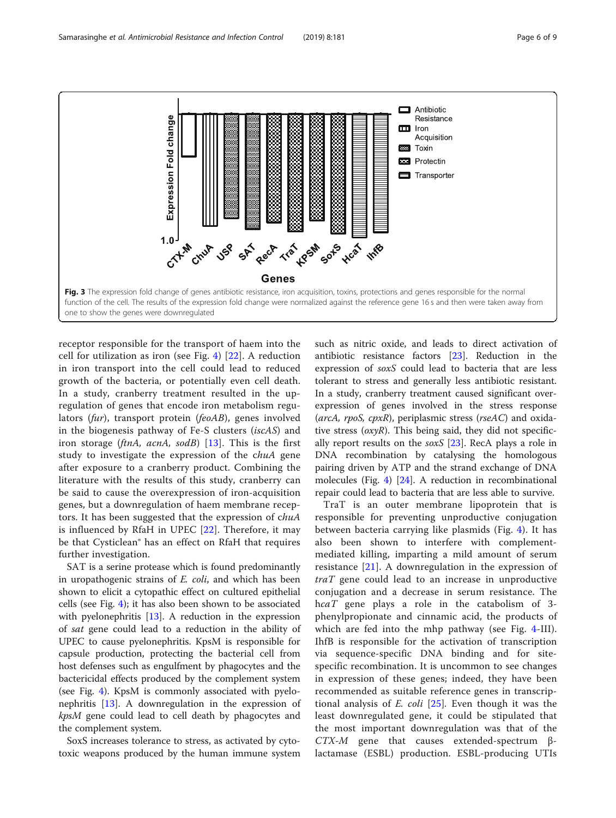<span id="page-5-0"></span>

receptor responsible for the transport of haem into the cell for utilization as iron (see Fig. [4\)](#page-6-0) [[22\]](#page-8-0). A reduction in iron transport into the cell could lead to reduced growth of the bacteria, or potentially even cell death. In a study, cranberry treatment resulted in the upregulation of genes that encode iron metabolism regulators (fur), transport protein (feoAB), genes involved in the biogenesis pathway of Fe-S clusters (iscAS) and iron storage (*ftnA, acnA, sodB*) [\[13](#page-7-0)]. This is the first study to investigate the expression of the chuA gene after exposure to a cranberry product. Combining the literature with the results of this study, cranberry can be said to cause the overexpression of iron-acquisition genes, but a downregulation of haem membrane receptors. It has been suggested that the expression of chuA is influenced by RfaH in UPEC [[22\]](#page-8-0). Therefore, it may be that Cysticlean® has an effect on RfaH that requires further investigation.

SAT is a serine protease which is found predominantly in uropathogenic strains of E. coli, and which has been shown to elicit a cytopathic effect on cultured epithelial cells (see Fig. [4](#page-6-0)); it has also been shown to be associated with pyelonephritis [[13\]](#page-7-0). A reduction in the expression of sat gene could lead to a reduction in the ability of UPEC to cause pyelonephritis. KpsM is responsible for capsule production, protecting the bacterial cell from host defenses such as engulfment by phagocytes and the bactericidal effects produced by the complement system (see Fig. [4\)](#page-6-0). KpsM is commonly associated with pyelonephritis [\[13](#page-7-0)]. A downregulation in the expression of kpsM gene could lead to cell death by phagocytes and the complement system.

SoxS increases tolerance to stress, as activated by cytotoxic weapons produced by the human immune system such as nitric oxide, and leads to direct activation of antibiotic resistance factors [\[23](#page-8-0)]. Reduction in the expression of soxS could lead to bacteria that are less tolerant to stress and generally less antibiotic resistant. In a study, cranberry treatment caused significant overexpression of genes involved in the stress response ( $arcA$ ,  $rpoS$ ,  $cpxR$ ), periplasmic stress ( $rseAC$ ) and oxidative stress  $(oxyR)$ . This being said, they did not specifically report results on the  $s\alpha xS$  [[23\]](#page-8-0). RecA plays a role in DNA recombination by catalysing the homologous pairing driven by ATP and the strand exchange of DNA molecules (Fig. [4](#page-6-0)) [[24](#page-8-0)]. A reduction in recombinational repair could lead to bacteria that are less able to survive.

TraT is an outer membrane lipoprotein that is responsible for preventing unproductive conjugation between bacteria carrying like plasmids (Fig. [4\)](#page-6-0). It has also been shown to interfere with complementmediated killing, imparting a mild amount of serum resistance [\[21](#page-8-0)]. A downregulation in the expression of  $traT$  gene could lead to an increase in unproductive conjugation and a decrease in serum resistance. The hcaT gene plays a role in the catabolism of 3phenylpropionate and cinnamic acid, the products of which are fed into the mhp pathway (see Fig. [4](#page-6-0)-III). IhfB is responsible for the activation of transcription via sequence-specific DNA binding and for sitespecific recombination. It is uncommon to see changes in expression of these genes; indeed, they have been recommended as suitable reference genes in transcriptional analysis of  $E.$  coli  $[25]$  $[25]$ . Even though it was the least downregulated gene, it could be stipulated that the most important downregulation was that of the  $CTX-M$  gene that causes extended-spectrum βlactamase (ESBL) production. ESBL-producing UTIs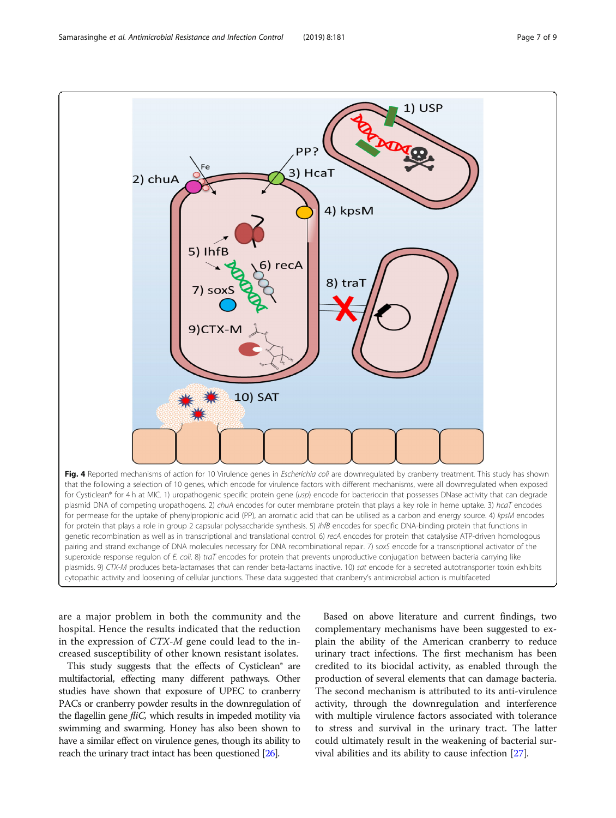<span id="page-6-0"></span>

are a major problem in both the community and the hospital. Hence the results indicated that the reduction in the expression of CTX-M gene could lead to the increased susceptibility of other known resistant isolates.

This study suggests that the effects of Cysticlean® are multifactorial, effecting many different pathways. Other studies have shown that exposure of UPEC to cranberry PACs or cranberry powder results in the downregulation of the flagellin gene *fliC*, which results in impeded motility via swimming and swarming. Honey has also been shown to have a similar effect on virulence genes, though its ability to reach the urinary tract intact has been questioned [[26\]](#page-8-0).

Based on above literature and current findings, two complementary mechanisms have been suggested to explain the ability of the American cranberry to reduce urinary tract infections. The first mechanism has been credited to its biocidal activity, as enabled through the production of several elements that can damage bacteria. The second mechanism is attributed to its anti-virulence activity, through the downregulation and interference with multiple virulence factors associated with tolerance to stress and survival in the urinary tract. The latter could ultimately result in the weakening of bacterial survival abilities and its ability to cause infection [[27\]](#page-8-0).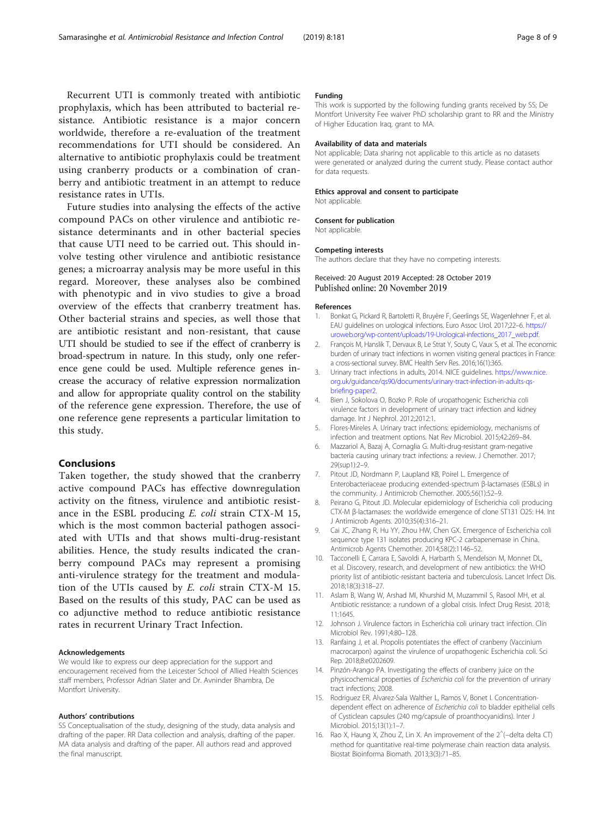<span id="page-7-0"></span>Recurrent UTI is commonly treated with antibiotic prophylaxis, which has been attributed to bacterial resistance. Antibiotic resistance is a major concern worldwide, therefore a re-evaluation of the treatment recommendations for UTI should be considered. An alternative to antibiotic prophylaxis could be treatment using cranberry products or a combination of cranberry and antibiotic treatment in an attempt to reduce resistance rates in UTIs.

Future studies into analysing the effects of the active compound PACs on other virulence and antibiotic resistance determinants and in other bacterial species that cause UTI need to be carried out. This should involve testing other virulence and antibiotic resistance genes; a microarray analysis may be more useful in this regard. Moreover, these analyses also be combined with phenotypic and in vivo studies to give a broad overview of the effects that cranberry treatment has. Other bacterial strains and species, as well those that are antibiotic resistant and non-resistant, that cause UTI should be studied to see if the effect of cranberry is broad-spectrum in nature. In this study, only one reference gene could be used. Multiple reference genes increase the accuracy of relative expression normalization and allow for appropriate quality control on the stability of the reference gene expression. Therefore, the use of one reference gene represents a particular limitation to this study.

### Conclusions

Taken together, the study showed that the cranberry active compound PACs has effective downregulation activity on the fitness, virulence and antibiotic resistance in the ESBL producing E. coli strain CTX-M 15, which is the most common bacterial pathogen associated with UTIs and that shows multi-drug-resistant abilities. Hence, the study results indicated the cranberry compound PACs may represent a promising anti-virulence strategy for the treatment and modulation of the UTIs caused by E. coli strain CTX-M 15. Based on the results of this study, PAC can be used as co adjunctive method to reduce antibiotic resistance rates in recurrent Urinary Tract Infection.

#### Acknowledgements

We would like to express our deep appreciation for the support and encouragement received from the Leicester School of Allied Health Sciences staff members, Professor Adrian Slater and Dr. Avninder Bhambra, De Montfort University.

#### Authors' contributions

SS Conceptualisation of the study, designing of the study, data analysis and drafting of the paper. RR Data collection and analysis, drafting of the paper. MA data analysis and drafting of the paper. All authors read and approved the final manuscript.

#### Funding

This work is supported by the following funding grants received by SS; De Montfort University Fee waiver PhD scholarship grant to RR and the Ministry of Higher Education Iraq, grant to MA.

#### Availability of data and materials

Not applicable; Data sharing not applicable to this article as no datasets were generated or analyzed during the current study. Please contact author for data requests.

### Ethics approval and consent to participate

Not applicable.

#### Consent for publication

Not applicable.

#### Competing interests

The authors declare that they have no competing interests.

# Received: 20 August 2019 Accepted: 28 October 2019

#### References

- 1. Bonkat G, Pickard R, Bartoletti R, Bruyère F, Geerlings SE, Wagenlehner F, et al. EAU guidelines on urological infections. Euro Assoc Urol. 2017;22–6. [https://](https://uroweb.org/wp-content/uploads/19-Urological-infections_2017_web.pdf) [uroweb.org/wp-content/uploads/19-Urological-infections\\_2017\\_web.pdf.](https://uroweb.org/wp-content/uploads/19-Urological-infections_2017_web.pdf)
- 2. François M, Hanslik T, Dervaux B, Le Strat Y, Souty C, Vaux S, et al. The economic burden of urinary tract infections in women visiting general practices in France: a cross-sectional survey. BMC Health Serv Res. 2016;16(1):365.
- 3. Urinary tract infections in adults, 2014. NICE guidelines. [https://www.nice.](https://www.nice.org.uk/guidance/qs90/documents/urinary-tract-infection-in-adults-qs-briefing-paper2) [org.uk/guidance/qs90/documents/urinary-tract-infection-in-adults-qs](https://www.nice.org.uk/guidance/qs90/documents/urinary-tract-infection-in-adults-qs-briefing-paper2)[briefing-paper2](https://www.nice.org.uk/guidance/qs90/documents/urinary-tract-infection-in-adults-qs-briefing-paper2).
- 4. Bien J, Sokolova O, Bozko P. Role of uropathogenic Escherichia coli virulence factors in development of urinary tract infection and kidney damage. Int J Nephrol. 2012;2012:1.
- 5. Flores-Mireles A. Urinary tract infections: epidemiology, mechanisms of infection and treatment options. Nat Rev Microbiol. 2015;42:269–84.
- 6. Mazzariol A, Bazaj A, Cornaglia G. Multi-drug-resistant gram-negative bacteria causing urinary tract infections: a review. J Chemother. 2017; 29(sup1):2–9.
- 7. Pitout JD, Nordmann P, Laupland KB, Poirel L. Emergence of Enterobacteriaceae producing extended-spectrum β-lactamases (ESBLs) in the community. J Antimicrob Chemother. 2005;56(1):52–9.
- 8. Peirano G, Pitout JD. Molecular epidemiology of Escherichia coli producing CTX-M β-lactamases: the worldwide emergence of clone ST131 O25: H4. Int J Antimicrob Agents. 2010;35(4):316–21.
- 9. Cai JC, Zhang R, Hu YY, Zhou HW, Chen GX. Emergence of Escherichia coli sequence type 131 isolates producing KPC-2 carbapenemase in China. Antimicrob Agents Chemother. 2014;58(2):1146–52.
- 10. Tacconelli E, Carrara E, Savoldi A, Harbarth S, Mendelson M, Monnet DL, et al. Discovery, research, and development of new antibiotics: the WHO priority list of antibiotic-resistant bacteria and tuberculosis. Lancet Infect Dis. 2018;18(3):318–27.
- 11. Aslam B, Wang W, Arshad MI, Khurshid M, Muzammil S, Rasool MH, et al. Antibiotic resistance: a rundown of a global crisis. Infect Drug Resist. 2018; 11:1645.
- 12. Johnson J. Virulence factors in Escherichia coli urinary tract infection. Clin Microbiol Rev. 1991;4:80–128.
- 13. Ranfaing J, et al. Propolis potentiates the effect of cranberry (Vaccinium macrocarpon) against the virulence of uropathogenic Escherichia coli. Sci Rep. 2018;8:e0202609.
- 14. Pinzón-Arango PA. Investigating the effects of cranberry juice on the physicochemical properties of Escherichia coli for the prevention of urinary tract infections; 2008.
- 15. Rodriguez ER, Alvarez-Sala Walther L, Ramos V, Bonet I. Concentrationdependent effect on adherence of Escherichia coli to bladder epithelial cells of Cysticlean capsules (240 mg/capsule of proanthocyanidins). Inter J Microbiol. 2015;13(1):1–7.
- 16. Rao X, Haung X, Zhou Z, Lin X. An improvement of the 2<sup>^</sup>(-delta delta CT) method for quantitative real-time polymerase chain reaction data analysis. Biostat Bioinforma Biomath. 2013;3(3):71–85.